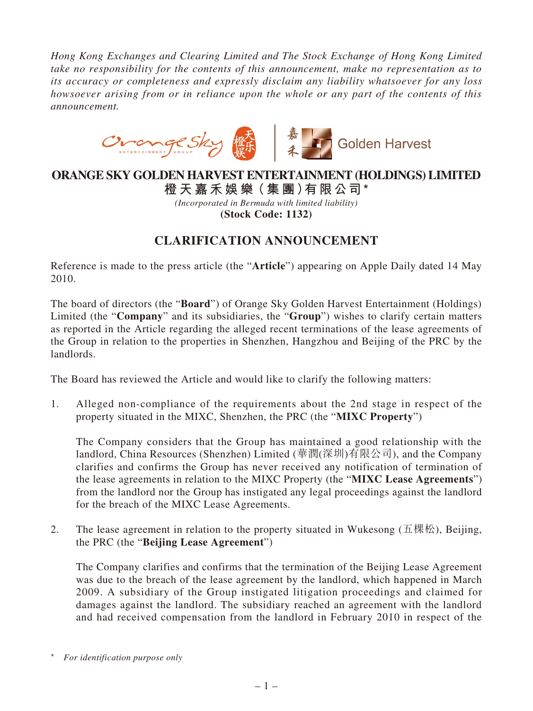*Hong Kong Exchanges and Clearing Limited and The Stock Exchange of Hong Kong Limited take no responsibility for the contents of this announcement, make no representation as to its accuracy or completeness and expressly disclaim any liability whatsoever for any loss howsoever arising from or in reliance upon the whole or any part of the contents of this announcement.*



## **ORANGE SKY GOLDEN HARVEST ENTERTAINMENT (HOLDINGS) LIMITED**

**橙 天 嘉禾娛 樂(集 團)有限公司 \*** *(Incorporated in Bermuda with limited liability)* **(Stock Code: 1132)**

## **CLARIFICATION ANNOUNCEMENT**

Reference is made to the press article (the "**Article**") appearing on Apple Daily dated 14 May 2010.

The board of directors (the "**Board**") of Orange Sky Golden Harvest Entertainment (Holdings) Limited (the "**Company**" and its subsidiaries, the "**Group**") wishes to clarify certain matters as reported in the Article regarding the alleged recent terminations of the lease agreements of the Group in relation to the properties in Shenzhen, Hangzhou and Beijing of the PRC by the landlords.

The Board has reviewed the Article and would like to clarify the following matters:

1. Alleged non-compliance of the requirements about the 2nd stage in respect of the property situated in the MIXC, Shenzhen, the PRC (the "**MIXC Property**")

The Company considers that the Group has maintained a good relationship with the landlord, China Resources (Shenzhen) Limited (華潤(深圳)有限公司), and the Company clarifies and confirms the Group has never received any notification of termination of the lease agreements in relation to the MIXC Property (the "**MIXC Lease Agreements**") from the landlord nor the Group has instigated any legal proceedings against the landlord for the breach of the MIXC Lease Agreements.

2. The lease agreement in relation to the property situated in Wukesong (五棵松), Beijing, the PRC (the "**Beijing Lease Agreement**")

The Company clarifies and confirms that the termination of the Beijing Lease Agreement was due to the breach of the lease agreement by the landlord, which happened in March 2009. A subsidiary of the Group instigated litigation proceedings and claimed for damages against the landlord. The subsidiary reached an agreement with the landlord and had received compensation from the landlord in February 2010 in respect of the

<sup>\*</sup> *For identification purpose only*